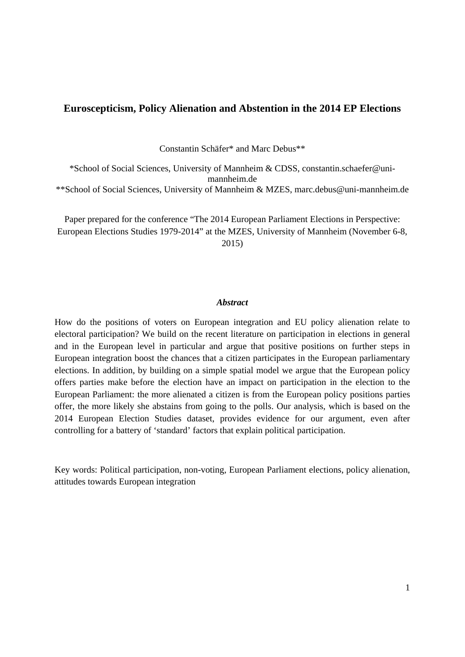## **Euroscepticism, Policy Alienation and Abstention in the 2014 EP Elections**

Constantin Schäfer\* and Marc Debus\*\*

\*School of Social Sciences, University of Mannheim & CDSS, constantin.schaefer@unimannheim.de \*\*School of Social Sciences, University of Mannheim & MZES, marc.debus@uni-mannheim.de

Paper prepared for the conference "The 2014 European Parliament Elections in Perspective: European Elections Studies 1979-2014" at the MZES, University of Mannheim (November 6-8, 2015)

### *Abstract*

How do the positions of voters on European integration and EU policy alienation relate to electoral participation? We build on the recent literature on participation in elections in general and in the European level in particular and argue that positive positions on further steps in European integration boost the chances that a citizen participates in the European parliamentary elections. In addition, by building on a simple spatial model we argue that the European policy offers parties make before the election have an impact on participation in the election to the European Parliament: the more alienated a citizen is from the European policy positions parties offer, the more likely she abstains from going to the polls. Our analysis, which is based on the 2014 European Election Studies dataset, provides evidence for our argument, even after controlling for a battery of 'standard' factors that explain political participation.

Key words: Political participation, non-voting, European Parliament elections, policy alienation, attitudes towards European integration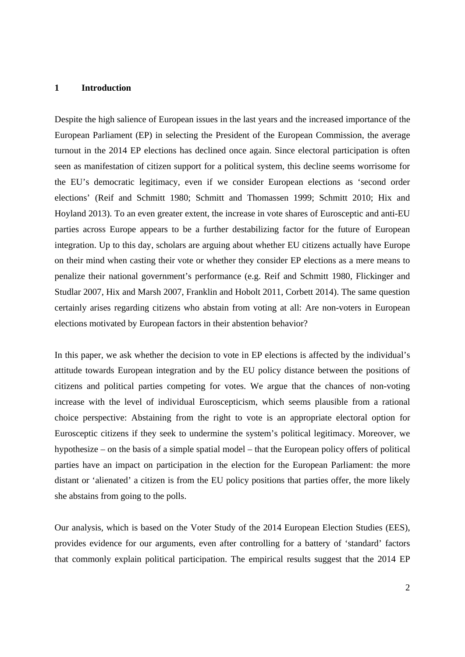#### **1 Introduction**

Despite the high salience of European issues in the last years and the increased importance of the European Parliament (EP) in selecting the President of the European Commission, the average turnout in the 2014 EP elections has declined once again. Since electoral participation is often seen as manifestation of citizen support for a political system, this decline seems worrisome for the EU's democratic legitimacy, even if we consider European elections as 'second order elections' (Reif and Schmitt 1980; Schmitt and Thomassen 1999; Schmitt 2010; Hix and Hoyland 2013). To an even greater extent, the increase in vote shares of Eurosceptic and anti-EU parties across Europe appears to be a further destabilizing factor for the future of European integration. Up to this day, scholars are arguing about whether EU citizens actually have Europe on their mind when casting their vote or whether they consider EP elections as a mere means to penalize their national government's performance (e.g. Reif and Schmitt 1980, Flickinger and Studlar 2007, Hix and Marsh 2007, Franklin and Hobolt 2011, Corbett 2014). The same question certainly arises regarding citizens who abstain from voting at all: Are non-voters in European elections motivated by European factors in their abstention behavior?

In this paper, we ask whether the decision to vote in EP elections is affected by the individual's attitude towards European integration and by the EU policy distance between the positions of citizens and political parties competing for votes. We argue that the chances of non-voting increase with the level of individual Euroscepticism, which seems plausible from a rational choice perspective: Abstaining from the right to vote is an appropriate electoral option for Eurosceptic citizens if they seek to undermine the system's political legitimacy. Moreover, we hypothesize – on the basis of a simple spatial model – that the European policy offers of political parties have an impact on participation in the election for the European Parliament: the more distant or 'alienated' a citizen is from the EU policy positions that parties offer, the more likely she abstains from going to the polls.

Our analysis, which is based on the Voter Study of the 2014 European Election Studies (EES), provides evidence for our arguments, even after controlling for a battery of 'standard' factors that commonly explain political participation. The empirical results suggest that the 2014 EP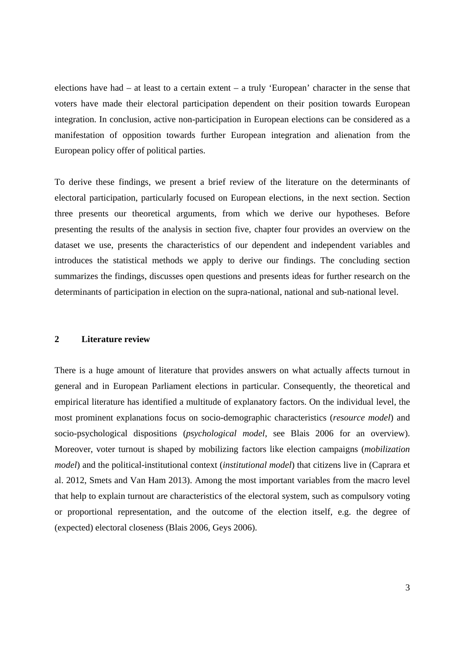elections have had – at least to a certain extent – a truly 'European' character in the sense that voters have made their electoral participation dependent on their position towards European integration. In conclusion, active non-participation in European elections can be considered as a manifestation of opposition towards further European integration and alienation from the European policy offer of political parties.

To derive these findings, we present a brief review of the literature on the determinants of electoral participation, particularly focused on European elections, in the next section. Section three presents our theoretical arguments, from which we derive our hypotheses. Before presenting the results of the analysis in section five, chapter four provides an overview on the dataset we use, presents the characteristics of our dependent and independent variables and introduces the statistical methods we apply to derive our findings. The concluding section summarizes the findings, discusses open questions and presents ideas for further research on the determinants of participation in election on the supra-national, national and sub-national level.

#### **2 Literature review**

There is a huge amount of literature that provides answers on what actually affects turnout in general and in European Parliament elections in particular. Consequently, the theoretical and empirical literature has identified a multitude of explanatory factors. On the individual level, the most prominent explanations focus on socio-demographic characteristics (*resource model*) and socio-psychological dispositions (*psychological model*, see Blais 2006 for an overview). Moreover, voter turnout is shaped by mobilizing factors like election campaigns (*mobilization model*) and the political-institutional context (*institutional model*) that citizens live in (Caprara et al. 2012, Smets and Van Ham 2013). Among the most important variables from the macro level that help to explain turnout are characteristics of the electoral system, such as compulsory voting or proportional representation, and the outcome of the election itself, e.g. the degree of (expected) electoral closeness (Blais 2006, Geys 2006).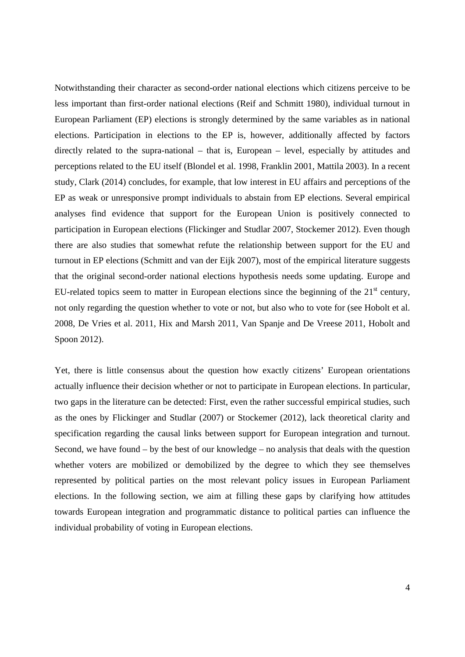Notwithstanding their character as second-order national elections which citizens perceive to be less important than first-order national elections (Reif and Schmitt 1980), individual turnout in European Parliament (EP) elections is strongly determined by the same variables as in national elections. Participation in elections to the EP is, however, additionally affected by factors directly related to the supra-national – that is, European – level, especially by attitudes and perceptions related to the EU itself (Blondel et al. 1998, Franklin 2001, Mattila 2003). In a recent study, Clark (2014) concludes, for example, that low interest in EU affairs and perceptions of the EP as weak or unresponsive prompt individuals to abstain from EP elections. Several empirical analyses find evidence that support for the European Union is positively connected to participation in European elections (Flickinger and Studlar 2007, Stockemer 2012). Even though there are also studies that somewhat refute the relationship between support for the EU and turnout in EP elections (Schmitt and van der Eijk 2007), most of the empirical literature suggests that the original second-order national elections hypothesis needs some updating. Europe and EU-related topics seem to matter in European elections since the beginning of the  $21<sup>st</sup>$  century, not only regarding the question whether to vote or not, but also who to vote for (see Hobolt et al. 2008, De Vries et al. 2011, Hix and Marsh 2011, Van Spanje and De Vreese 2011, Hobolt and Spoon 2012).

Yet, there is little consensus about the question how exactly citizens' European orientations actually influence their decision whether or not to participate in European elections. In particular, two gaps in the literature can be detected: First, even the rather successful empirical studies, such as the ones by Flickinger and Studlar (2007) or Stockemer (2012), lack theoretical clarity and specification regarding the causal links between support for European integration and turnout. Second, we have found  $-$  by the best of our knowledge  $-$  no analysis that deals with the question whether voters are mobilized or demobilized by the degree to which they see themselves represented by political parties on the most relevant policy issues in European Parliament elections. In the following section, we aim at filling these gaps by clarifying how attitudes towards European integration and programmatic distance to political parties can influence the individual probability of voting in European elections.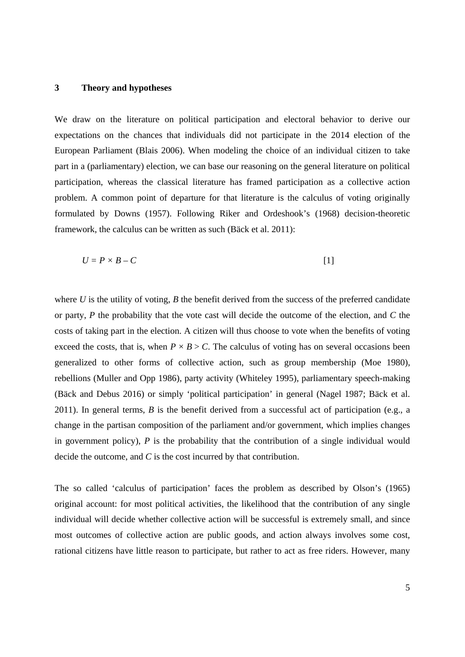#### **3 Theory and hypotheses**

We draw on the literature on political participation and electoral behavior to derive our expectations on the chances that individuals did not participate in the 2014 election of the European Parliament (Blais 2006). When modeling the choice of an individual citizen to take part in a (parliamentary) election, we can base our reasoning on the general literature on political participation, whereas the classical literature has framed participation as a collective action problem. A common point of departure for that literature is the calculus of voting originally formulated by Downs (1957). Following Riker and Ordeshook's (1968) decision-theoretic framework, the calculus can be written as such (Bäck et al. 2011):

$$
U = P \times B - C \tag{1}
$$

where  $U$  is the utility of voting,  $B$  the benefit derived from the success of the preferred candidate or party, *P* the probability that the vote cast will decide the outcome of the election, and *C* the costs of taking part in the election. A citizen will thus choose to vote when the benefits of voting exceed the costs, that is, when  $P \times B > C$ . The calculus of voting has on several occasions been generalized to other forms of collective action, such as group membership (Moe 1980), rebellions (Muller and Opp 1986), party activity (Whiteley 1995), parliamentary speech-making (Bäck and Debus 2016) or simply 'political participation' in general (Nagel 1987; Bäck et al. 2011). In general terms, *B* is the benefit derived from a successful act of participation (e.g., a change in the partisan composition of the parliament and/or government, which implies changes in government policy), *P* is the probability that the contribution of a single individual would decide the outcome, and *C* is the cost incurred by that contribution.

The so called 'calculus of participation' faces the problem as described by Olson's (1965) original account: for most political activities, the likelihood that the contribution of any single individual will decide whether collective action will be successful is extremely small, and since most outcomes of collective action are public goods, and action always involves some cost, rational citizens have little reason to participate, but rather to act as free riders. However, many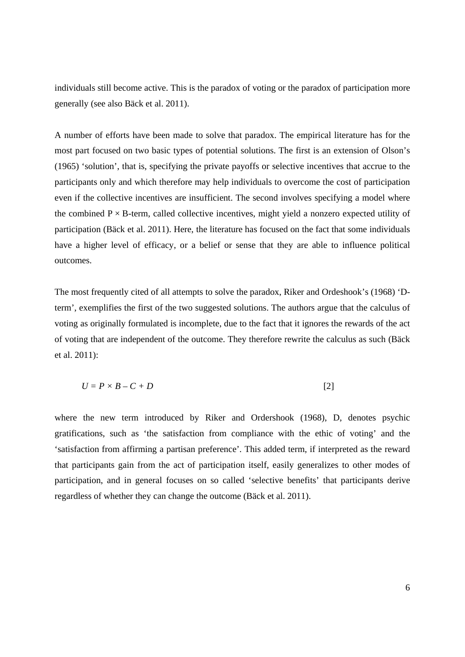individuals still become active. This is the paradox of voting or the paradox of participation more generally (see also Bäck et al. 2011).

A number of efforts have been made to solve that paradox. The empirical literature has for the most part focused on two basic types of potential solutions. The first is an extension of Olson's (1965) 'solution', that is, specifying the private payoffs or selective incentives that accrue to the participants only and which therefore may help individuals to overcome the cost of participation even if the collective incentives are insufficient. The second involves specifying a model where the combined  $P \times B$ -term, called collective incentives, might yield a nonzero expected utility of participation (Bäck et al. 2011). Here, the literature has focused on the fact that some individuals have a higher level of efficacy, or a belief or sense that they are able to influence political outcomes.

The most frequently cited of all attempts to solve the paradox, Riker and Ordeshook's (1968) 'Dterm', exemplifies the first of the two suggested solutions. The authors argue that the calculus of voting as originally formulated is incomplete, due to the fact that it ignores the rewards of the act of voting that are independent of the outcome. They therefore rewrite the calculus as such (Bäck et al. 2011):

$$
U = P \times B - C + D \tag{2}
$$

where the new term introduced by Riker and Ordershook (1968), D, denotes psychic gratifications, such as 'the satisfaction from compliance with the ethic of voting' and the 'satisfaction from affirming a partisan preference'. This added term, if interpreted as the reward that participants gain from the act of participation itself, easily generalizes to other modes of participation, and in general focuses on so called 'selective benefits' that participants derive regardless of whether they can change the outcome (Bäck et al. 2011).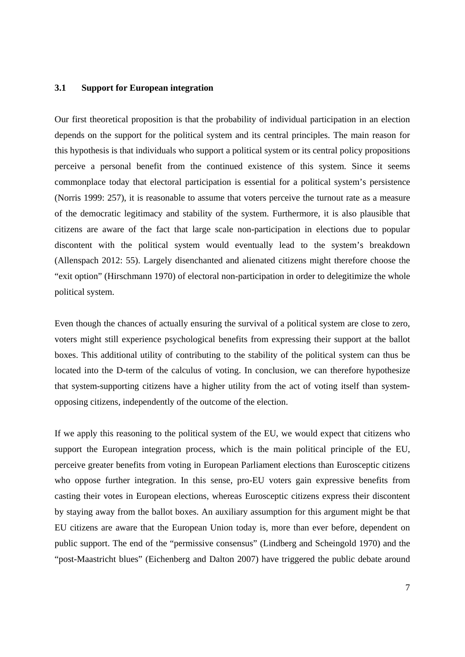### **3.1 Support for European integration**

Our first theoretical proposition is that the probability of individual participation in an election depends on the support for the political system and its central principles. The main reason for this hypothesis is that individuals who support a political system or its central policy propositions perceive a personal benefit from the continued existence of this system. Since it seems commonplace today that electoral participation is essential for a political system's persistence (Norris 1999: 257), it is reasonable to assume that voters perceive the turnout rate as a measure of the democratic legitimacy and stability of the system. Furthermore, it is also plausible that citizens are aware of the fact that large scale non-participation in elections due to popular discontent with the political system would eventually lead to the system's breakdown (Allenspach 2012: 55). Largely disenchanted and alienated citizens might therefore choose the "exit option" (Hirschmann 1970) of electoral non-participation in order to delegitimize the whole political system.

Even though the chances of actually ensuring the survival of a political system are close to zero, voters might still experience psychological benefits from expressing their support at the ballot boxes. This additional utility of contributing to the stability of the political system can thus be located into the D-term of the calculus of voting. In conclusion, we can therefore hypothesize that system-supporting citizens have a higher utility from the act of voting itself than systemopposing citizens, independently of the outcome of the election.

If we apply this reasoning to the political system of the EU, we would expect that citizens who support the European integration process, which is the main political principle of the EU, perceive greater benefits from voting in European Parliament elections than Eurosceptic citizens who oppose further integration. In this sense, pro-EU voters gain expressive benefits from casting their votes in European elections, whereas Eurosceptic citizens express their discontent by staying away from the ballot boxes. An auxiliary assumption for this argument might be that EU citizens are aware that the European Union today is, more than ever before, dependent on public support. The end of the "permissive consensus" (Lindberg and Scheingold 1970) and the "post-Maastricht blues" (Eichenberg and Dalton 2007) have triggered the public debate around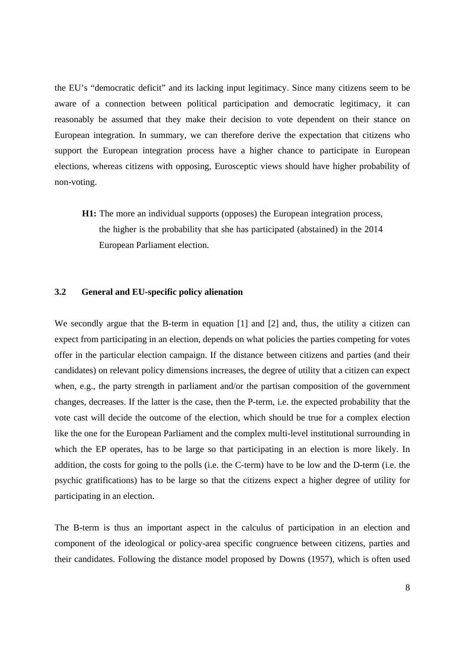the EU's "democratic deficit" and its lacking input legitimacy. Since many citizens seem to be aware of a connection between political participation and democratic legitimacy, it can reasonably be assumed that they make their decision to vote dependent on their stance on European integration. In summary, we can therefore derive the expectation that citizens who support the European integration process have a higher chance to participate in European elections, whereas citizens with opposing, Eurosceptic views should have higher probability of non-voting.

**H1:** The more an individual supports (opposes) the European integration process, the higher is the probability that she has participated (abstained) in the 2014 European Parliament election.

#### **3.2 General and EU-specific policy alienation**

We secondly argue that the B-term in equation [1] and [2] and, thus, the utility a citizen can expect from participating in an election, depends on what policies the parties competing for votes offer in the particular election campaign. If the distance between citizens and parties (and their candidates) on relevant policy dimensions increases, the degree of utility that a citizen can expect when, e.g., the party strength in parliament and/or the partisan composition of the government changes, decreases. If the latter is the case, then the P-term, i.e. the expected probability that the vote cast will decide the outcome of the election, which should be true for a complex election like the one for the European Parliament and the complex multi-level institutional surrounding in which the EP operates, has to be large so that participating in an election is more likely. In addition, the costs for going to the polls (i.e. the C-term) have to be low and the D-term (i.e. the psychic gratifications) has to be large so that the citizens expect a higher degree of utility for participating in an election.

The B-term is thus an important aspect in the calculus of participation in an election and component of the ideological or policy-area specific congruence between citizens, parties and their candidates. Following the distance model proposed by Downs (1957), which is often used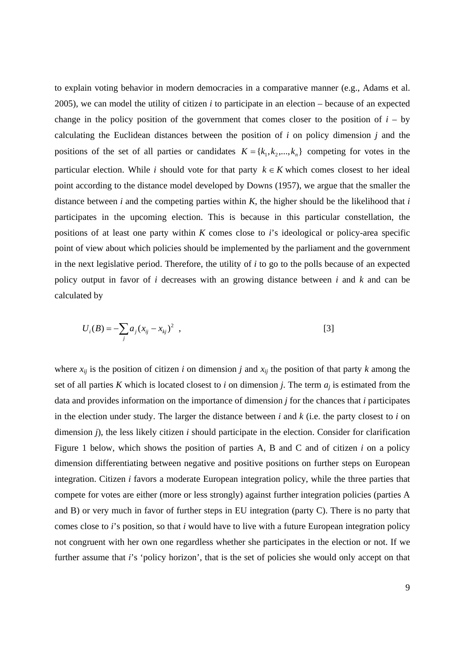to explain voting behavior in modern democracies in a comparative manner (e.g., Adams et al. 2005), we can model the utility of citizen *i* to participate in an election – because of an expected change in the policy position of the government that comes closer to the position of  $i - by$ calculating the Euclidean distances between the position of *i* on policy dimension *j* and the positions of the set of all parties or candidates  $K = \{k_1, k_2, ..., k_n\}$  competing for votes in the particular election. While *i* should vote for that party  $k \in K$  which comes closest to her ideal point according to the distance model developed by Downs (1957), we argue that the smaller the distance between *i* and the competing parties within  $K$ , the higher should be the likelihood that *i* participates in the upcoming election. This is because in this particular constellation, the positions of at least one party within *K* comes close to *i*'s ideological or policy-area specific point of view about which policies should be implemented by the parliament and the government in the next legislative period. Therefore, the utility of *i* to go to the polls because of an expected policy output in favor of *i* decreases with an growing distance between *i* and *k* and can be calculated by

$$
U_i(B) = -\sum_j a_j (x_{ij} - x_{kj})^2 , \qquad [3]
$$

where  $x_{ij}$  is the position of citizen *i* on dimension *j* and  $x_{ij}$  the position of that party *k* among the set of all parties *K* which is located closest to *i* on dimension *j*. The term *aj* is estimated from the data and provides information on the importance of dimension *j* for the chances that *i* participates in the election under study. The larger the distance between *i* and *k* (i.e. the party closest to *i* on dimension *j*), the less likely citizen *i* should participate in the election. Consider for clarification Figure 1 below, which shows the position of parties A, B and C and of citizen *i* on a policy dimension differentiating between negative and positive positions on further steps on European integration. Citizen *i* favors a moderate European integration policy, while the three parties that compete for votes are either (more or less strongly) against further integration policies (parties A and B) or very much in favor of further steps in EU integration (party C). There is no party that comes close to *i*'s position, so that *i* would have to live with a future European integration policy not congruent with her own one regardless whether she participates in the election or not. If we further assume that *i*'s 'policy horizon', that is the set of policies she would only accept on that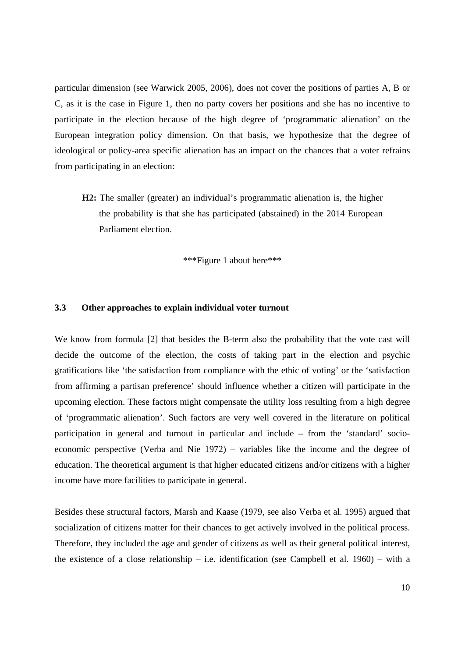particular dimension (see Warwick 2005, 2006), does not cover the positions of parties A, B or C, as it is the case in Figure 1, then no party covers her positions and she has no incentive to participate in the election because of the high degree of 'programmatic alienation' on the European integration policy dimension. On that basis, we hypothesize that the degree of ideological or policy-area specific alienation has an impact on the chances that a voter refrains from participating in an election:

**H2:** The smaller (greater) an individual's programmatic alienation is, the higher the probability is that she has participated (abstained) in the 2014 European Parliament election.

\*\*\*Figure 1 about here\*\*\*

#### **3.3 Other approaches to explain individual voter turnout**

We know from formula [2] that besides the B-term also the probability that the vote cast will decide the outcome of the election, the costs of taking part in the election and psychic gratifications like 'the satisfaction from compliance with the ethic of voting' or the 'satisfaction from affirming a partisan preference' should influence whether a citizen will participate in the upcoming election. These factors might compensate the utility loss resulting from a high degree of 'programmatic alienation'. Such factors are very well covered in the literature on political participation in general and turnout in particular and include – from the 'standard' socioeconomic perspective (Verba and Nie 1972) – variables like the income and the degree of education. The theoretical argument is that higher educated citizens and/or citizens with a higher income have more facilities to participate in general.

Besides these structural factors, Marsh and Kaase (1979, see also Verba et al. 1995) argued that socialization of citizens matter for their chances to get actively involved in the political process. Therefore, they included the age and gender of citizens as well as their general political interest, the existence of a close relationship – i.e. identification (see Campbell et al. 1960) – with a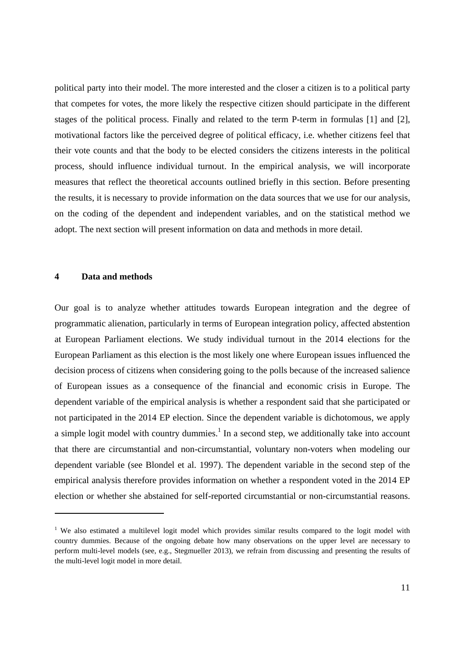political party into their model. The more interested and the closer a citizen is to a political party that competes for votes, the more likely the respective citizen should participate in the different stages of the political process. Finally and related to the term P-term in formulas [1] and [2], motivational factors like the perceived degree of political efficacy, i.e. whether citizens feel that their vote counts and that the body to be elected considers the citizens interests in the political process, should influence individual turnout. In the empirical analysis, we will incorporate measures that reflect the theoretical accounts outlined briefly in this section. Before presenting the results, it is necessary to provide information on the data sources that we use for our analysis, on the coding of the dependent and independent variables, and on the statistical method we adopt. The next section will present information on data and methods in more detail.

#### **4 Data and methods**

<u> Alexandria de la construcción de la construcción de la construcción de la construcción de la construcción de</u>

Our goal is to analyze whether attitudes towards European integration and the degree of programmatic alienation, particularly in terms of European integration policy, affected abstention at European Parliament elections. We study individual turnout in the 2014 elections for the European Parliament as this election is the most likely one where European issues influenced the decision process of citizens when considering going to the polls because of the increased salience of European issues as a consequence of the financial and economic crisis in Europe. The dependent variable of the empirical analysis is whether a respondent said that she participated or not participated in the 2014 EP election. Since the dependent variable is dichotomous, we apply a simple logit model with country dummies.<sup>1</sup> In a second step, we additionally take into account that there are circumstantial and non-circumstantial, voluntary non-voters when modeling our dependent variable (see Blondel et al. 1997). The dependent variable in the second step of the empirical analysis therefore provides information on whether a respondent voted in the 2014 EP election or whether she abstained for self-reported circumstantial or non-circumstantial reasons.

<sup>&</sup>lt;sup>1</sup> We also estimated a multilevel logit model which provides similar results compared to the logit model with country dummies. Because of the ongoing debate how many observations on the upper level are necessary to perform multi-level models (see, e.g., Stegmueller 2013), we refrain from discussing and presenting the results of the multi-level logit model in more detail.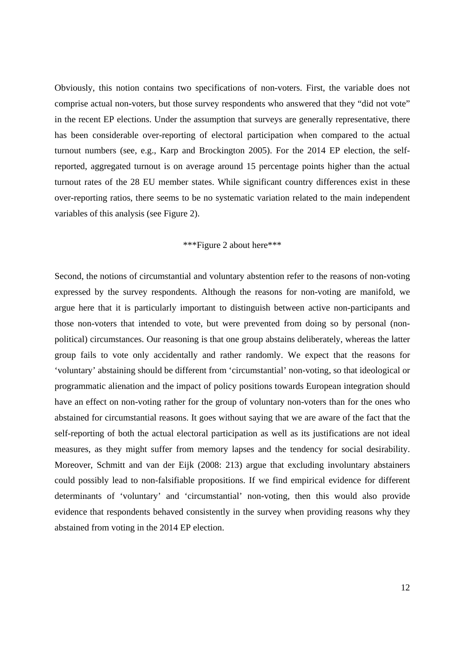Obviously, this notion contains two specifications of non-voters. First, the variable does not comprise actual non-voters, but those survey respondents who answered that they "did not vote" in the recent EP elections. Under the assumption that surveys are generally representative, there has been considerable over-reporting of electoral participation when compared to the actual turnout numbers (see, e.g., Karp and Brockington 2005). For the 2014 EP election, the selfreported, aggregated turnout is on average around 15 percentage points higher than the actual turnout rates of the 28 EU member states. While significant country differences exist in these over-reporting ratios, there seems to be no systematic variation related to the main independent variables of this analysis (see Figure 2).

### \*\*\*Figure 2 about here\*\*\*

Second, the notions of circumstantial and voluntary abstention refer to the reasons of non-voting expressed by the survey respondents. Although the reasons for non-voting are manifold, we argue here that it is particularly important to distinguish between active non-participants and those non-voters that intended to vote, but were prevented from doing so by personal (nonpolitical) circumstances. Our reasoning is that one group abstains deliberately, whereas the latter group fails to vote only accidentally and rather randomly. We expect that the reasons for 'voluntary' abstaining should be different from 'circumstantial' non-voting, so that ideological or programmatic alienation and the impact of policy positions towards European integration should have an effect on non-voting rather for the group of voluntary non-voters than for the ones who abstained for circumstantial reasons. It goes without saying that we are aware of the fact that the self-reporting of both the actual electoral participation as well as its justifications are not ideal measures, as they might suffer from memory lapses and the tendency for social desirability. Moreover, Schmitt and van der Eijk (2008: 213) argue that excluding involuntary abstainers could possibly lead to non-falsifiable propositions. If we find empirical evidence for different determinants of 'voluntary' and 'circumstantial' non-voting, then this would also provide evidence that respondents behaved consistently in the survey when providing reasons why they abstained from voting in the 2014 EP election.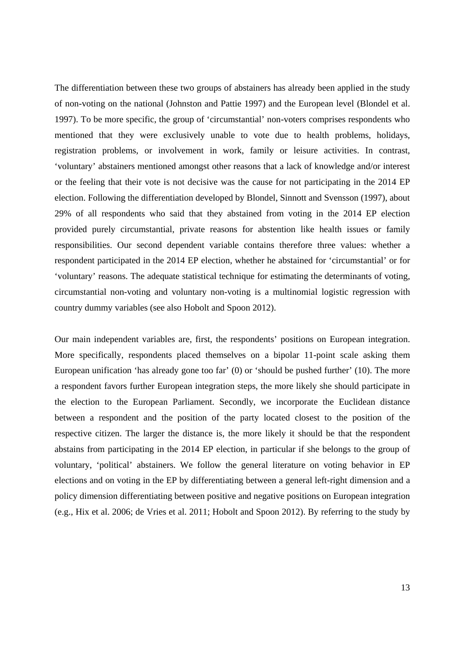The differentiation between these two groups of abstainers has already been applied in the study of non-voting on the national (Johnston and Pattie 1997) and the European level (Blondel et al. 1997). To be more specific, the group of 'circumstantial' non-voters comprises respondents who mentioned that they were exclusively unable to vote due to health problems, holidays, registration problems, or involvement in work, family or leisure activities. In contrast, 'voluntary' abstainers mentioned amongst other reasons that a lack of knowledge and/or interest or the feeling that their vote is not decisive was the cause for not participating in the 2014 EP election. Following the differentiation developed by Blondel, Sinnott and Svensson (1997), about 29% of all respondents who said that they abstained from voting in the 2014 EP election provided purely circumstantial, private reasons for abstention like health issues or family responsibilities. Our second dependent variable contains therefore three values: whether a respondent participated in the 2014 EP election, whether he abstained for 'circumstantial' or for 'voluntary' reasons. The adequate statistical technique for estimating the determinants of voting, circumstantial non-voting and voluntary non-voting is a multinomial logistic regression with country dummy variables (see also Hobolt and Spoon 2012).

Our main independent variables are, first, the respondents' positions on European integration. More specifically, respondents placed themselves on a bipolar 11-point scale asking them European unification 'has already gone too far' (0) or 'should be pushed further' (10). The more a respondent favors further European integration steps, the more likely she should participate in the election to the European Parliament. Secondly, we incorporate the Euclidean distance between a respondent and the position of the party located closest to the position of the respective citizen. The larger the distance is, the more likely it should be that the respondent abstains from participating in the 2014 EP election, in particular if she belongs to the group of voluntary, 'political' abstainers. We follow the general literature on voting behavior in EP elections and on voting in the EP by differentiating between a general left-right dimension and a policy dimension differentiating between positive and negative positions on European integration (e.g., Hix et al. 2006; de Vries et al. 2011; Hobolt and Spoon 2012). By referring to the study by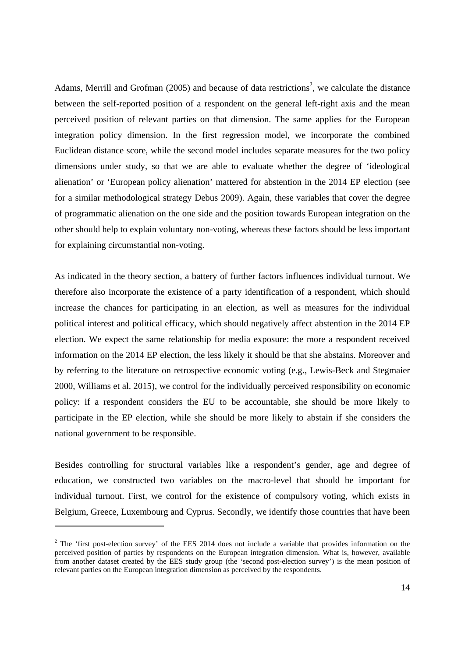Adams, Merrill and Grofman (2005) and because of data restrictions<sup>2</sup>, we calculate the distance between the self-reported position of a respondent on the general left-right axis and the mean perceived position of relevant parties on that dimension. The same applies for the European integration policy dimension. In the first regression model, we incorporate the combined Euclidean distance score, while the second model includes separate measures for the two policy dimensions under study, so that we are able to evaluate whether the degree of 'ideological alienation' or 'European policy alienation' mattered for abstention in the 2014 EP election (see for a similar methodological strategy Debus 2009). Again, these variables that cover the degree of programmatic alienation on the one side and the position towards European integration on the other should help to explain voluntary non-voting, whereas these factors should be less important for explaining circumstantial non-voting.

As indicated in the theory section, a battery of further factors influences individual turnout. We therefore also incorporate the existence of a party identification of a respondent, which should increase the chances for participating in an election, as well as measures for the individual political interest and political efficacy, which should negatively affect abstention in the 2014 EP election. We expect the same relationship for media exposure: the more a respondent received information on the 2014 EP election, the less likely it should be that she abstains. Moreover and by referring to the literature on retrospective economic voting (e.g., Lewis-Beck and Stegmaier 2000, Williams et al. 2015), we control for the individually perceived responsibility on economic policy: if a respondent considers the EU to be accountable, she should be more likely to participate in the EP election, while she should be more likely to abstain if she considers the national government to be responsible.

Besides controlling for structural variables like a respondent's gender, age and degree of education, we constructed two variables on the macro-level that should be important for individual turnout. First, we control for the existence of compulsory voting, which exists in Belgium, Greece, Luxembourg and Cyprus. Secondly, we identify those countries that have been

 $2$  The 'first post-election survey' of the EES 2014 does not include a variable that provides information on the perceived position of parties by respondents on the European integration dimension. What is, however, available from another dataset created by the EES study group (the 'second post-election survey') is the mean position of relevant parties on the European integration dimension as perceived by the respondents.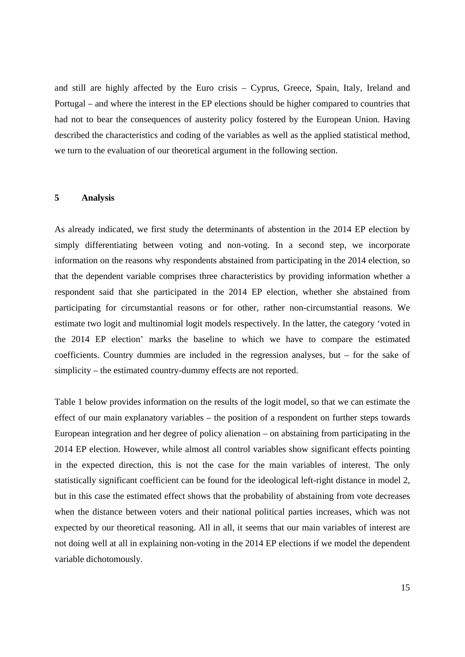and still are highly affected by the Euro crisis – Cyprus, Greece, Spain, Italy, Ireland and Portugal – and where the interest in the EP elections should be higher compared to countries that had not to bear the consequences of austerity policy fostered by the European Union. Having described the characteristics and coding of the variables as well as the applied statistical method, we turn to the evaluation of our theoretical argument in the following section.

#### **5 Analysis**

As already indicated, we first study the determinants of abstention in the 2014 EP election by simply differentiating between voting and non-voting. In a second step, we incorporate information on the reasons why respondents abstained from participating in the 2014 election, so that the dependent variable comprises three characteristics by providing information whether a respondent said that she participated in the 2014 EP election, whether she abstained from participating for circumstantial reasons or for other, rather non-circumstantial reasons. We estimate two logit and multinomial logit models respectively. In the latter, the category 'voted in the 2014 EP election' marks the baseline to which we have to compare the estimated coefficients. Country dummies are included in the regression analyses, but – for the sake of simplicity – the estimated country-dummy effects are not reported.

Table 1 below provides information on the results of the logit model, so that we can estimate the effect of our main explanatory variables – the position of a respondent on further steps towards European integration and her degree of policy alienation – on abstaining from participating in the 2014 EP election. However, while almost all control variables show significant effects pointing in the expected direction, this is not the case for the main variables of interest. The only statistically significant coefficient can be found for the ideological left-right distance in model 2, but in this case the estimated effect shows that the probability of abstaining from vote decreases when the distance between voters and their national political parties increases, which was not expected by our theoretical reasoning. All in all, it seems that our main variables of interest are not doing well at all in explaining non-voting in the 2014 EP elections if we model the dependent variable dichotomously.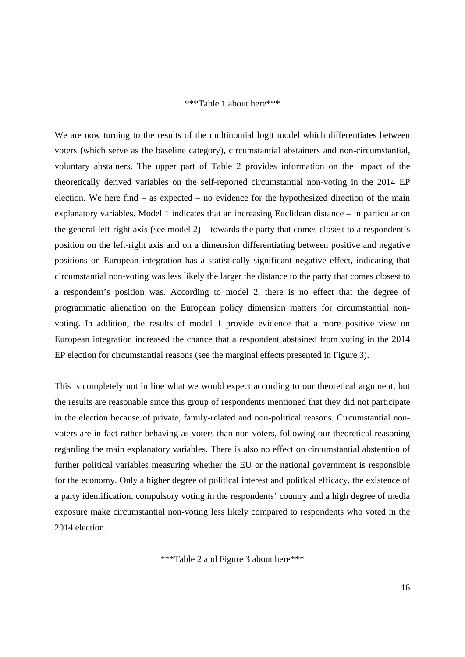#### \*\*\*Table 1 about here\*\*\*

We are now turning to the results of the multinomial logit model which differentiates between voters (which serve as the baseline category), circumstantial abstainers and non-circumstantial, voluntary abstainers. The upper part of Table 2 provides information on the impact of the theoretically derived variables on the self-reported circumstantial non-voting in the 2014 EP election. We here find – as expected – no evidence for the hypothesized direction of the main explanatory variables. Model 1 indicates that an increasing Euclidean distance – in particular on the general left-right axis (see model 2) – towards the party that comes closest to a respondent's position on the left-right axis and on a dimension differentiating between positive and negative positions on European integration has a statistically significant negative effect, indicating that circumstantial non-voting was less likely the larger the distance to the party that comes closest to a respondent's position was. According to model 2, there is no effect that the degree of programmatic alienation on the European policy dimension matters for circumstantial nonvoting. In addition, the results of model 1 provide evidence that a more positive view on European integration increased the chance that a respondent abstained from voting in the 2014 EP election for circumstantial reasons (see the marginal effects presented in Figure 3).

This is completely not in line what we would expect according to our theoretical argument, but the results are reasonable since this group of respondents mentioned that they did not participate in the election because of private, family-related and non-political reasons. Circumstantial nonvoters are in fact rather behaving as voters than non-voters, following our theoretical reasoning regarding the main explanatory variables. There is also no effect on circumstantial abstention of further political variables measuring whether the EU or the national government is responsible for the economy. Only a higher degree of political interest and political efficacy, the existence of a party identification, compulsory voting in the respondents' country and a high degree of media exposure make circumstantial non-voting less likely compared to respondents who voted in the 2014 election.

\*\*\*Table 2 and Figure 3 about here\*\*\*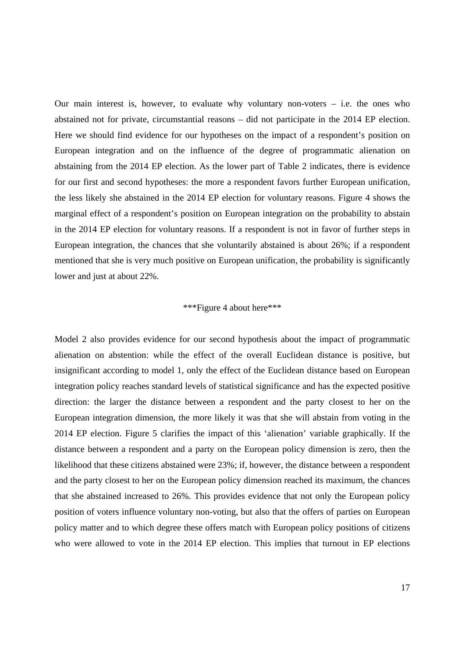Our main interest is, however, to evaluate why voluntary non-voters  $-$  i.e. the ones who abstained not for private, circumstantial reasons – did not participate in the 2014 EP election. Here we should find evidence for our hypotheses on the impact of a respondent's position on European integration and on the influence of the degree of programmatic alienation on abstaining from the 2014 EP election. As the lower part of Table 2 indicates, there is evidence for our first and second hypotheses: the more a respondent favors further European unification, the less likely she abstained in the 2014 EP election for voluntary reasons. Figure 4 shows the marginal effect of a respondent's position on European integration on the probability to abstain in the 2014 EP election for voluntary reasons. If a respondent is not in favor of further steps in European integration, the chances that she voluntarily abstained is about 26%; if a respondent mentioned that she is very much positive on European unification, the probability is significantly lower and just at about 22%.

#### \*\*\*Figure 4 about here\*\*\*

Model 2 also provides evidence for our second hypothesis about the impact of programmatic alienation on abstention: while the effect of the overall Euclidean distance is positive, but insignificant according to model 1, only the effect of the Euclidean distance based on European integration policy reaches standard levels of statistical significance and has the expected positive direction: the larger the distance between a respondent and the party closest to her on the European integration dimension, the more likely it was that she will abstain from voting in the 2014 EP election. Figure 5 clarifies the impact of this 'alienation' variable graphically. If the distance between a respondent and a party on the European policy dimension is zero, then the likelihood that these citizens abstained were 23%; if, however, the distance between a respondent and the party closest to her on the European policy dimension reached its maximum, the chances that she abstained increased to 26%. This provides evidence that not only the European policy position of voters influence voluntary non-voting, but also that the offers of parties on European policy matter and to which degree these offers match with European policy positions of citizens who were allowed to vote in the 2014 EP election. This implies that turnout in EP elections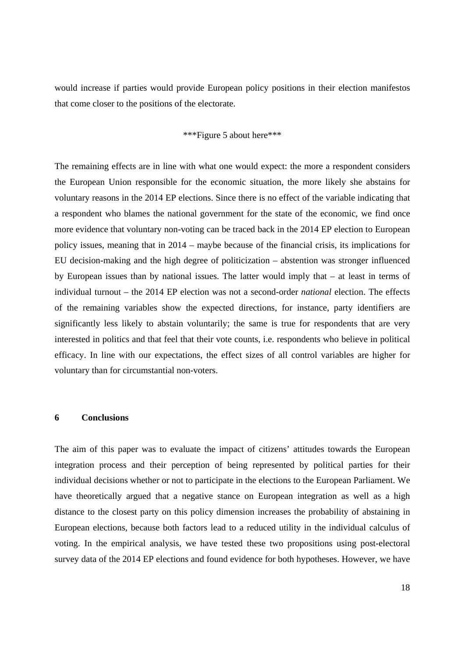would increase if parties would provide European policy positions in their election manifestos that come closer to the positions of the electorate.

\*\*\*Figure 5 about here\*\*\*

The remaining effects are in line with what one would expect: the more a respondent considers the European Union responsible for the economic situation, the more likely she abstains for voluntary reasons in the 2014 EP elections. Since there is no effect of the variable indicating that a respondent who blames the national government for the state of the economic, we find once more evidence that voluntary non-voting can be traced back in the 2014 EP election to European policy issues, meaning that in 2014 – maybe because of the financial crisis, its implications for EU decision-making and the high degree of politicization – abstention was stronger influenced by European issues than by national issues. The latter would imply that – at least in terms of individual turnout – the 2014 EP election was not a second-order *national* election. The effects of the remaining variables show the expected directions, for instance, party identifiers are significantly less likely to abstain voluntarily; the same is true for respondents that are very interested in politics and that feel that their vote counts, i.e. respondents who believe in political efficacy. In line with our expectations, the effect sizes of all control variables are higher for voluntary than for circumstantial non-voters.

#### **6 Conclusions**

The aim of this paper was to evaluate the impact of citizens' attitudes towards the European integration process and their perception of being represented by political parties for their individual decisions whether or not to participate in the elections to the European Parliament. We have theoretically argued that a negative stance on European integration as well as a high distance to the closest party on this policy dimension increases the probability of abstaining in European elections, because both factors lead to a reduced utility in the individual calculus of voting. In the empirical analysis, we have tested these two propositions using post-electoral survey data of the 2014 EP elections and found evidence for both hypotheses. However, we have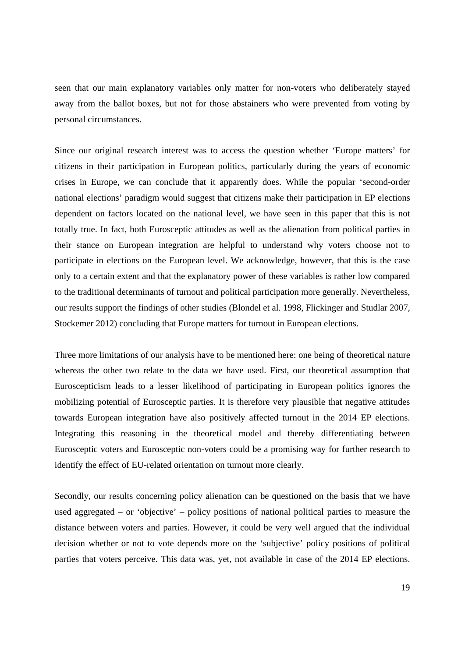seen that our main explanatory variables only matter for non-voters who deliberately stayed away from the ballot boxes, but not for those abstainers who were prevented from voting by personal circumstances.

Since our original research interest was to access the question whether 'Europe matters' for citizens in their participation in European politics, particularly during the years of economic crises in Europe, we can conclude that it apparently does. While the popular 'second-order national elections' paradigm would suggest that citizens make their participation in EP elections dependent on factors located on the national level, we have seen in this paper that this is not totally true. In fact, both Eurosceptic attitudes as well as the alienation from political parties in their stance on European integration are helpful to understand why voters choose not to participate in elections on the European level. We acknowledge, however, that this is the case only to a certain extent and that the explanatory power of these variables is rather low compared to the traditional determinants of turnout and political participation more generally. Nevertheless, our results support the findings of other studies (Blondel et al. 1998, Flickinger and Studlar 2007, Stockemer 2012) concluding that Europe matters for turnout in European elections.

Three more limitations of our analysis have to be mentioned here: one being of theoretical nature whereas the other two relate to the data we have used. First, our theoretical assumption that Euroscepticism leads to a lesser likelihood of participating in European politics ignores the mobilizing potential of Eurosceptic parties. It is therefore very plausible that negative attitudes towards European integration have also positively affected turnout in the 2014 EP elections. Integrating this reasoning in the theoretical model and thereby differentiating between Eurosceptic voters and Eurosceptic non-voters could be a promising way for further research to identify the effect of EU-related orientation on turnout more clearly.

Secondly, our results concerning policy alienation can be questioned on the basis that we have used aggregated – or 'objective' – policy positions of national political parties to measure the distance between voters and parties. However, it could be very well argued that the individual decision whether or not to vote depends more on the 'subjective' policy positions of political parties that voters perceive. This data was, yet, not available in case of the 2014 EP elections.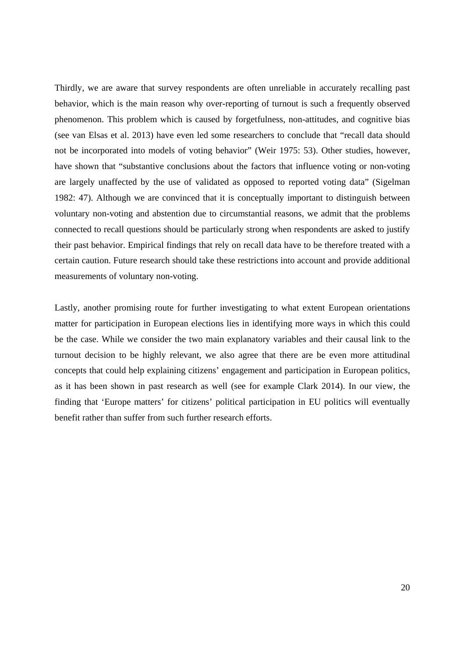Thirdly, we are aware that survey respondents are often unreliable in accurately recalling past behavior, which is the main reason why over-reporting of turnout is such a frequently observed phenomenon. This problem which is caused by forgetfulness, non-attitudes, and cognitive bias (see van Elsas et al. 2013) have even led some researchers to conclude that "recall data should not be incorporated into models of voting behavior" (Weir 1975: 53). Other studies, however, have shown that "substantive conclusions about the factors that influence voting or non-voting are largely unaffected by the use of validated as opposed to reported voting data" (Sigelman 1982: 47). Although we are convinced that it is conceptually important to distinguish between voluntary non-voting and abstention due to circumstantial reasons, we admit that the problems connected to recall questions should be particularly strong when respondents are asked to justify their past behavior. Empirical findings that rely on recall data have to be therefore treated with a certain caution. Future research should take these restrictions into account and provide additional measurements of voluntary non-voting.

Lastly, another promising route for further investigating to what extent European orientations matter for participation in European elections lies in identifying more ways in which this could be the case. While we consider the two main explanatory variables and their causal link to the turnout decision to be highly relevant, we also agree that there are be even more attitudinal concepts that could help explaining citizens' engagement and participation in European politics, as it has been shown in past research as well (see for example Clark 2014). In our view, the finding that 'Europe matters' for citizens' political participation in EU politics will eventually benefit rather than suffer from such further research efforts.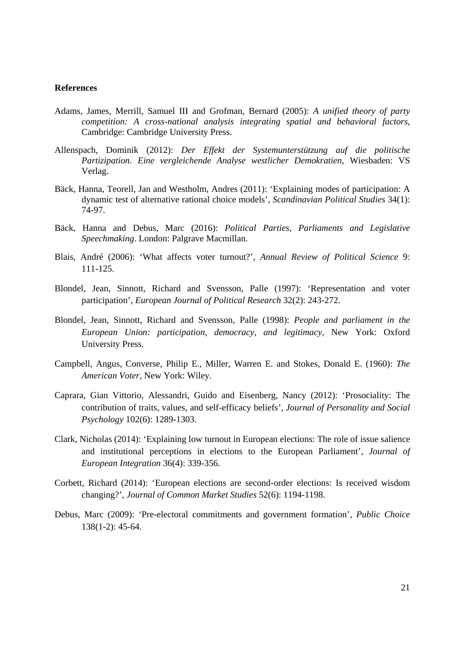#### **References**

- Adams, James, Merrill, Samuel III and Grofman, Bernard (2005): *A unified theory of party competition: A cross-national analysis integrating spatial and behavioral factors*, Cambridge: Cambridge University Press.
- Allenspach, Dominik (2012): *Der Effekt der Systemunterstützung auf die politische Partizipation. Eine vergleichende Analyse westlicher Demokratien*, Wiesbaden: VS Verlag.
- Bäck, Hanna, Teorell, Jan and Westholm, Andres (2011): 'Explaining modes of participation: A dynamic test of alternative rational choice models', *Scandinavian Political Studies* 34(1): 74-97.
- Bäck, Hanna and Debus, Marc (2016): *Political Parties, Parliaments and Legislative Speechmaking*. London: Palgrave Macmillan.
- Blais, André (2006): 'What affects voter turnout?', *Annual Review of Political Science* 9: 111-125.
- Blondel, Jean, Sinnott, Richard and Svensson, Palle (1997): 'Representation and voter participation', *European Journal of Political Research* 32(2): 243-272.
- Blondel, Jean, Sinnott, Richard and Svensson, Palle (1998): *People and parliament in the European Union: participation, democracy, and legitimacy*, New York: Oxford University Press.
- Campbell, Angus, Converse, Philip E., Miller, Warren E. and Stokes, Donald E. (1960): *The American Voter*, New York: Wiley.
- Caprara, Gian Vittorio, Alessandri, Guido and Eisenberg, Nancy (2012): 'Prosociality: The contribution of traits, values, and self-efficacy beliefs', *Journal of Personality and Social Psychology* 102(6): 1289-1303.
- Clark, Nicholas (2014): 'Explaining low turnout in European elections: The role of issue salience and institutional perceptions in elections to the European Parliament', *Journal of European Integration* 36(4): 339-356.
- Corbett, Richard (2014): 'European elections are second-order elections: Is received wisdom changing?', *Journal of Common Market Studies* 52(6): 1194-1198.
- Debus, Marc (2009): 'Pre-electoral commitments and government formation', *Public Choice* 138(1-2): 45-64.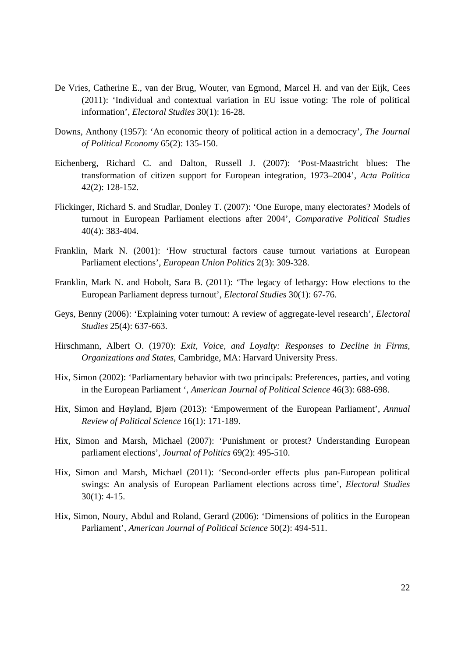- De Vries, Catherine E., van der Brug, Wouter, van Egmond, Marcel H. and van der Eijk, Cees (2011): 'Individual and contextual variation in EU issue voting: The role of political information', *Electoral Studies* 30(1): 16-28.
- Downs, Anthony (1957): 'An economic theory of political action in a democracy', *The Journal of Political Economy* 65(2): 135-150.
- Eichenberg, Richard C. and Dalton, Russell J. (2007): 'Post-Maastricht blues: The transformation of citizen support for European integration, 1973–2004', *Acta Politica* 42(2): 128-152.
- Flickinger, Richard S. and Studlar, Donley T. (2007): 'One Europe, many electorates? Models of turnout in European Parliament elections after 2004', *Comparative Political Studies* 40(4): 383-404.
- Franklin, Mark N. (2001): 'How structural factors cause turnout variations at European Parliament elections', *European Union Politics* 2(3): 309-328.
- Franklin, Mark N. and Hobolt, Sara B. (2011): 'The legacy of lethargy: How elections to the European Parliament depress turnout', *Electoral Studies* 30(1): 67-76.
- Geys, Benny (2006): 'Explaining voter turnout: A review of aggregate-level research', *Electoral Studies* 25(4): 637-663.
- Hirschmann, Albert O. (1970): *Exit, Voice, and Loyalty: Responses to Decline in Firms, Organizations and States*, Cambridge, MA: Harvard University Press.
- Hix, Simon (2002): 'Parliamentary behavior with two principals: Preferences, parties, and voting in the European Parliament ', *American Journal of Political Science* 46(3): 688-698.
- Hix, Simon and Høyland, Bjørn (2013): 'Empowerment of the European Parliament', *Annual Review of Political Science* 16(1): 171-189.
- Hix, Simon and Marsh, Michael (2007): 'Punishment or protest? Understanding European parliament elections', *Journal of Politics* 69(2): 495-510.
- Hix, Simon and Marsh, Michael (2011): 'Second-order effects plus pan-European political swings: An analysis of European Parliament elections across time', *Electoral Studies*  30(1): 4-15.
- Hix, Simon, Noury, Abdul and Roland, Gerard (2006): 'Dimensions of politics in the European Parliament', *American Journal of Political Science* 50(2): 494-511.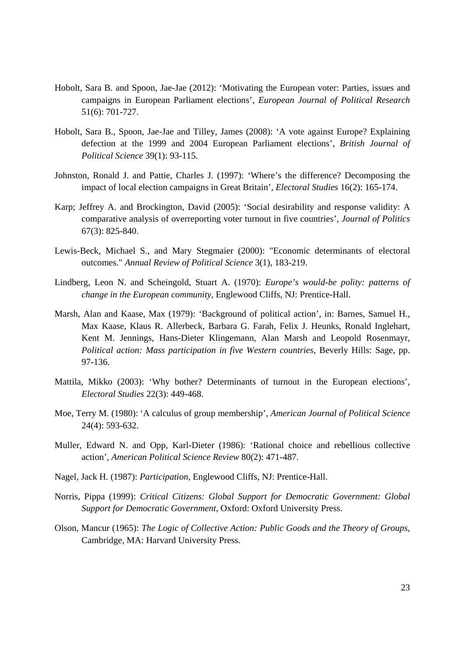- Hobolt, Sara B. and Spoon, Jae-Jae (2012): 'Motivating the European voter: Parties, issues and campaigns in European Parliament elections', *European Journal of Political Research* 51(6): 701-727.
- Hobolt, Sara B., Spoon, Jae-Jae and Tilley, James (2008): 'A vote against Europe? Explaining defection at the 1999 and 2004 European Parliament elections', *British Journal of Political Science* 39(1): 93-115.
- Johnston, Ronald J. and Pattie, Charles J. (1997): 'Where's the difference? Decomposing the impact of local election campaigns in Great Britain', *Electoral Studies* 16(2): 165-174.
- Karp; Jeffrey A. and Brockington, David (2005): 'Social desirability and response validity: A comparative analysis of overreporting voter turnout in five countries', *Journal of Politics* 67(3): 825-840.
- Lewis-Beck, Michael S., and Mary Stegmaier (2000): "Economic determinants of electoral outcomes." *Annual Review of Political Science* 3(1), 183-219.
- Lindberg, Leon N. and Scheingold, Stuart A. (1970): *Europe's would-be polity: patterns of change in the European community*, Englewood Cliffs, NJ: Prentice-Hall.
- Marsh, Alan and Kaase, Max (1979): 'Background of political action', in: Barnes, Samuel H., Max Kaase, Klaus R. Allerbeck, Barbara G. Farah, Felix J. Heunks, Ronald Inglehart, Kent M. Jennings, Hans-Dieter Klingemann, Alan Marsh and Leopold Rosenmayr, *Political action: Mass participation in five Western countries*, Beverly Hills: Sage, pp. 97-136.
- Mattila, Mikko (2003): 'Why bother? Determinants of turnout in the European elections', *Electoral Studies* 22(3): 449-468.
- Moe, Terry M. (1980): 'A calculus of group membership', *American Journal of Political Science* 24(4): 593-632.
- Muller, Edward N. and Opp, Karl-Dieter (1986): 'Rational choice and rebellious collective action', *American Political Science Review* 80(2): 471-487.
- Nagel, Jack H. (1987): *Participation*, Englewood Cliffs, NJ: Prentice-Hall.
- Norris, Pippa (1999): *Critical Citizens: Global Support for Democratic Government: Global Support for Democratic Government*, Oxford: Oxford University Press.
- Olson, Mancur (1965): *The Logic of Collective Action: Public Goods and the Theory of Groups*, Cambridge, MA: Harvard University Press.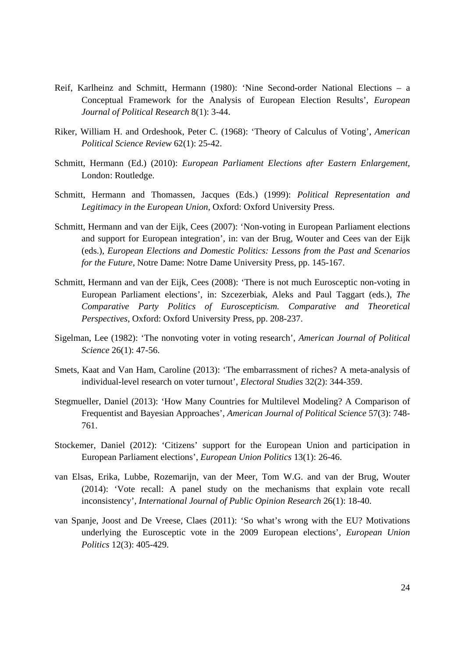- Reif, Karlheinz and Schmitt, Hermann (1980): 'Nine Second-order National Elections a Conceptual Framework for the Analysis of European Election Results', *European Journal of Political Research* 8(1): 3-44.
- Riker, William H. and Ordeshook, Peter C. (1968): 'Theory of Calculus of Voting', *American Political Science Review* 62(1): 25-42.
- Schmitt, Hermann (Ed.) (2010): *European Parliament Elections after Eastern Enlargement*, London: Routledge.
- Schmitt, Hermann and Thomassen, Jacques (Eds.) (1999): *Political Representation and Legitimacy in the European Union*, Oxford: Oxford University Press.
- Schmitt, Hermann and van der Eijk, Cees (2007): 'Non-voting in European Parliament elections and support for European integration', in: van der Brug, Wouter and Cees van der Eijk (eds.), *European Elections and Domestic Politics: Lessons from the Past and Scenarios for the Future*, Notre Dame: Notre Dame University Press, pp. 145-167.
- Schmitt, Hermann and van der Eijk, Cees (2008): 'There is not much Eurosceptic non-voting in European Parliament elections', in: Szcezerbiak, Aleks and Paul Taggart (eds.), *The Comparative Party Politics of Euroscepticism. Comparative and Theoretical Perspectives*, Oxford: Oxford University Press, pp. 208-237.
- Sigelman, Lee (1982): 'The nonvoting voter in voting research', *American Journal of Political Science* 26(1): 47-56.
- Smets, Kaat and Van Ham, Caroline (2013): 'The embarrassment of riches? A meta-analysis of individual-level research on voter turnout', *Electoral Studies* 32(2): 344-359.
- Stegmueller, Daniel (2013): 'How Many Countries for Multilevel Modeling? A Comparison of Frequentist and Bayesian Approaches', *American Journal of Political Science* 57(3): 748- 761.
- Stockemer, Daniel (2012): 'Citizens' support for the European Union and participation in European Parliament elections', *European Union Politics* 13(1): 26-46.
- van Elsas, Erika, Lubbe, Rozemarijn, van der Meer, Tom W.G. and van der Brug, Wouter (2014): 'Vote recall: A panel study on the mechanisms that explain vote recall inconsistency', *International Journal of Public Opinion Research* 26(1): 18-40.
- van Spanje, Joost and De Vreese, Claes (2011): 'So what's wrong with the EU? Motivations underlying the Eurosceptic vote in the 2009 European elections', *European Union Politics* 12(3): 405-429.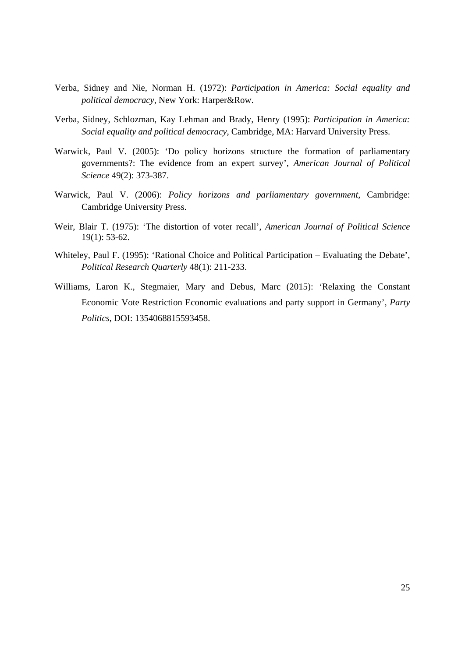- Verba, Sidney and Nie, Norman H. (1972): *Participation in America: Social equality and political democracy*, New York: Harper&Row.
- Verba, Sidney, Schlozman, Kay Lehman and Brady, Henry (1995): *Participation in America: Social equality and political democracy*, Cambridge, MA: Harvard University Press.
- Warwick, Paul V. (2005): 'Do policy horizons structure the formation of parliamentary governments?: The evidence from an expert survey', *American Journal of Political Science* 49(2): 373-387.
- Warwick, Paul V. (2006): *Policy horizons and parliamentary government*, Cambridge: Cambridge University Press.
- Weir, Blair T. (1975): 'The distortion of voter recall', *American Journal of Political Science* 19(1): 53-62.
- Whiteley, Paul F. (1995): 'Rational Choice and Political Participation Evaluating the Debate', *Political Research Quarterly* 48(1): 211-233.
- Williams, Laron K., Stegmaier, Mary and Debus, Marc (2015): 'Relaxing the Constant Economic Vote Restriction Economic evaluations and party support in Germany', *Party Politics*, DOI: 1354068815593458.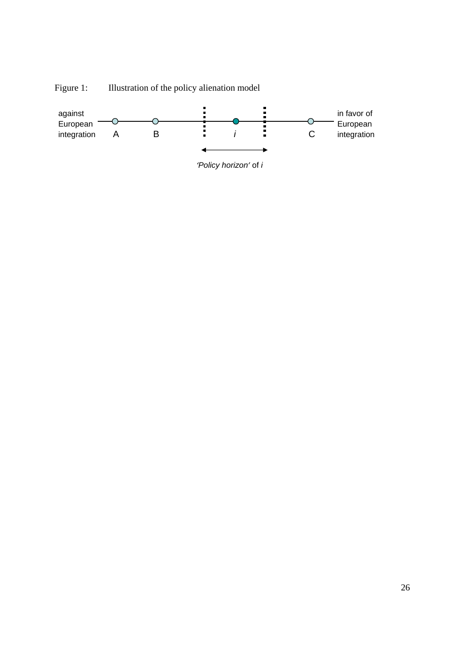

Figure 1: Illustration of the policy alienation model

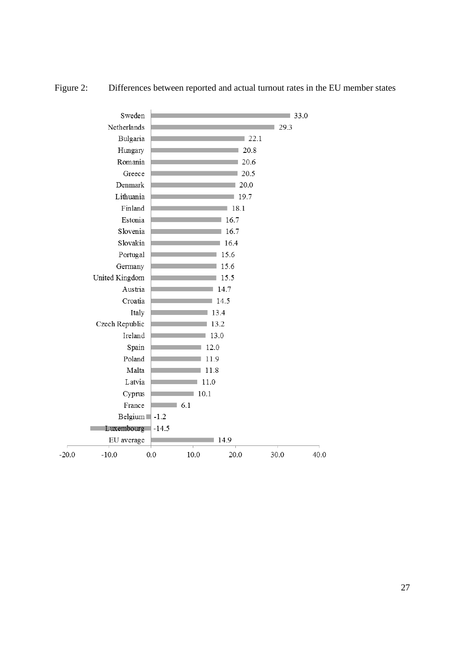|         | Sweden                      |         |      |      |      | 133.0 |
|---------|-----------------------------|---------|------|------|------|-------|
|         | Netherlands                 |         |      |      | 29.3 |       |
|         | Bulgaria                    |         |      |      | 22.1 |       |
|         | Hungary                     |         |      | 20.8 |      |       |
|         | Romania                     |         |      | 20.6 |      |       |
|         | Greece                      |         |      | 20.5 |      |       |
|         | Denmark                     |         |      | 20.0 |      |       |
|         | Lithuania                   |         |      | 19.7 |      |       |
|         | Finland                     |         |      | 18.1 |      |       |
|         | Estonia                     |         |      | 16.7 |      |       |
|         | Slovenia                    |         |      | 16.7 |      |       |
|         | Slovakia                    |         |      | 16.4 |      |       |
|         | Portugal                    |         |      | 15.6 |      |       |
|         | Germany                     |         |      | 15.6 |      |       |
|         | United Kingdom              |         |      | 15.5 |      |       |
|         | Austria                     |         |      | 14.7 |      |       |
|         | Croatia                     |         |      | 14.5 |      |       |
|         | Italy                       |         |      | 13.4 |      |       |
|         | Czech Republic              |         |      | 13.2 |      |       |
|         | Ireland                     |         |      | 13.0 |      |       |
|         | Spain                       |         |      | 12.0 |      |       |
|         | Poland                      |         |      | 11.9 |      |       |
|         | Malta                       |         |      | 11.8 |      |       |
|         | Latvia                      |         | 11.0 |      |      |       |
|         | Cyprus                      |         | 10.1 |      |      |       |
|         | France                      |         | 6.1  |      |      |       |
|         | Belgium $\blacksquare$ -1.2 |         |      |      |      |       |
|         | Luxembourg                  | $-14.5$ |      |      |      |       |
|         | EU average                  |         |      | 14.9 |      |       |
| $-20.0$ | $-10.0$                     | 0.0     | 10.0 | 20.0 | 30.0 | 40.0  |

# Figure 2: Differences between reported and actual turnout rates in the EU member states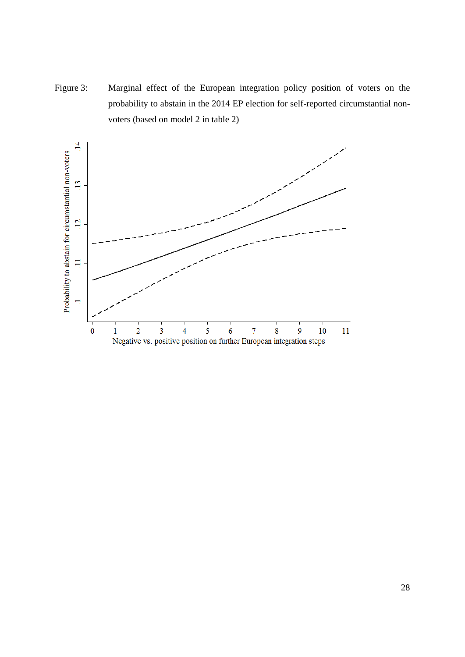Figure 3: Marginal effect of the European integration policy position of voters on the probability to abstain in the 2014 EP election for self-reported circumstantial nonvoters (based on model 2 in table 2)

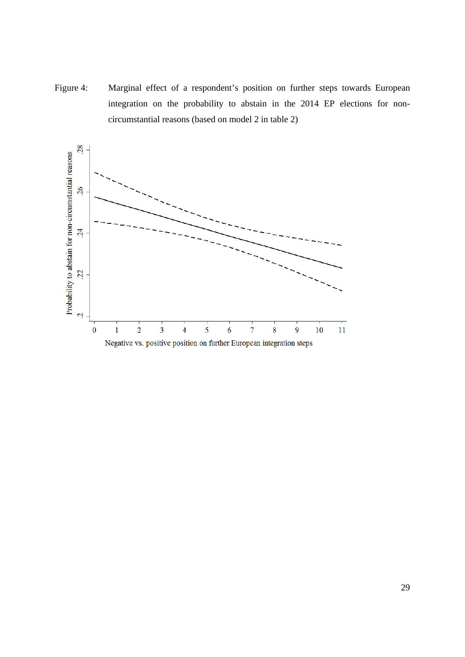Figure 4: Marginal effect of a respondent's position on further steps towards European integration on the probability to abstain in the 2014 EP elections for noncircumstantial reasons (based on model 2 in table 2)

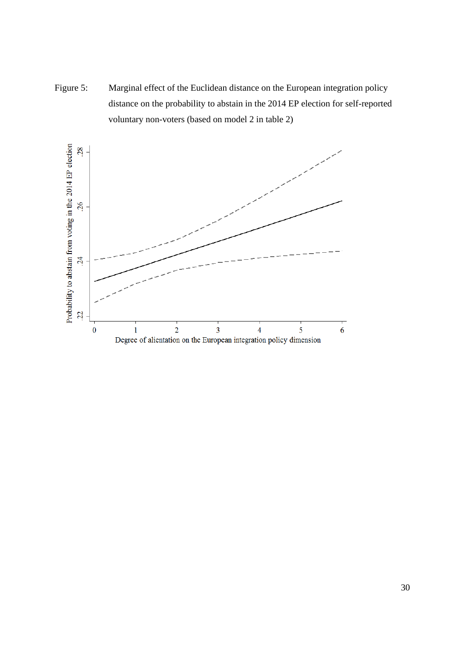Figure 5: Marginal effect of the Euclidean distance on the European integration policy distance on the probability to abstain in the 2014 EP election for self-reported voluntary non-voters (based on model 2 in table 2)

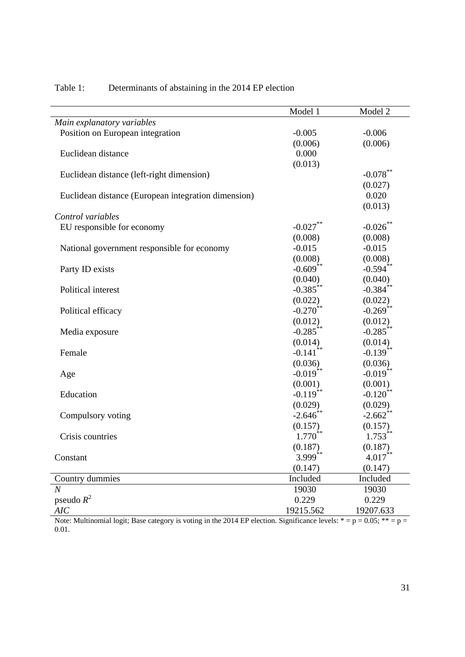|                                                     | Model 1                | Model 2                |
|-----------------------------------------------------|------------------------|------------------------|
| Main explanatory variables                          |                        |                        |
| Position on European integration                    | $-0.005$               | $-0.006$               |
|                                                     | (0.006)                | (0.006)                |
| Euclidean distance                                  | 0.000                  |                        |
|                                                     | (0.013)                |                        |
| Euclidean distance (left-right dimension)           |                        | $-0.078$ **            |
|                                                     |                        | (0.027)                |
| Euclidean distance (European integration dimension) |                        | 0.020                  |
|                                                     |                        | (0.013)                |
| Control variables                                   |                        |                        |
| EU responsible for economy                          | $-0.027$ **            | $-0.026$ **            |
|                                                     | (0.008)                | (0.008)                |
| National government responsible for economy         | $-0.015$               | $-0.015$               |
|                                                     | (0.008)                | (0.008)                |
| Party ID exists                                     | $-0.609$ <sup>**</sup> | $-0.594$ **            |
|                                                     | (0.040)                | (0.040)                |
| Political interest                                  | $-0.385$ **            | $-0.384$ **            |
|                                                     | (0.022)                | (0.022)                |
| Political efficacy                                  | $-0.270$ **            | $-0.269$ **            |
|                                                     | (0.012)                | (0.012)                |
| Media exposure                                      | $-0.285$ **            | $-0.285$ **            |
|                                                     | (0.014)                | (0.014)                |
| Female                                              | $-0.141$ <sup>**</sup> | $-0.139$ **            |
|                                                     | (0.036)                | (0.036)                |
| Age                                                 | $-0.019$ <sup>**</sup> | $-0.019$ **            |
|                                                     | (0.001)                | (0.001)                |
| Education                                           | $-0.119$ **            | $-0.120$ <sup>**</sup> |
|                                                     | (0.029)                | (0.029)                |
| Compulsory voting                                   | $-2.646$ **            | $-2.662$ **            |
|                                                     | (0.157)                | (0.157)                |
| Crisis countries                                    | $1.770^{**}$           | $1.753$ <sup>**</sup>  |
|                                                     | (0.187)                | (0.187)                |
| Constant                                            | $3.999$ <sup>**</sup>  | $4.017\sp{**}$         |
|                                                     | (0.147)                | (0.147)                |
| Country dummies                                     | Included               | Included               |
| $\overline{N}$                                      | 19030                  | 19030                  |
| pseudo $R^2$                                        | 0.229                  | 0.229                  |
| AIC                                                 | 19215.562              | 19207.633              |

## Table 1: Determinants of abstaining in the 2014 EP election

Note: Multinomial logit; Base category is voting in the 2014 EP election. Significance levels:  $* = p = 0.05$ ;  $** = p =$ 0.01.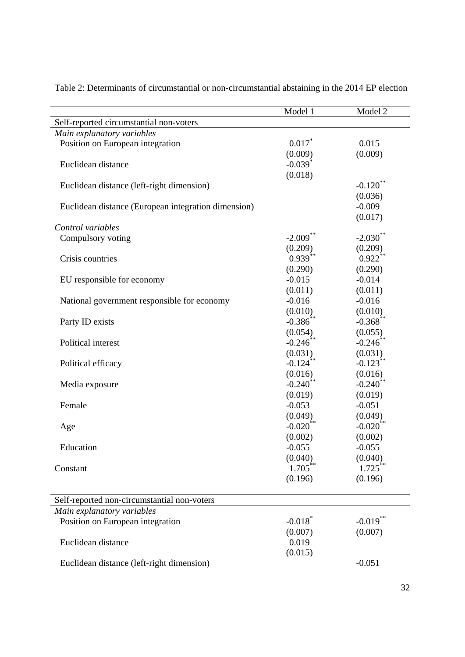|                                                     | Model 1                | Model 2                |
|-----------------------------------------------------|------------------------|------------------------|
| Self-reported circumstantial non-voters             |                        |                        |
| Main explanatory variables                          |                        |                        |
| Position on European integration                    | $0.017$ *              | 0.015                  |
|                                                     | (0.009)                | (0.009)                |
| Euclidean distance                                  | $-0.039$ <sup>*</sup>  |                        |
|                                                     | (0.018)                |                        |
| Euclidean distance (left-right dimension)           |                        | $-0.120$ <sup>**</sup> |
|                                                     |                        | (0.036)                |
| Euclidean distance (European integration dimension) |                        | $-0.009$               |
|                                                     |                        | (0.017)                |
| Control variables                                   |                        |                        |
| Compulsory voting                                   | $-2.009$ **            | $-2.030$ <sup>**</sup> |
|                                                     | (0.209)                | (0.209)                |
| Crisis countries                                    | $0.939**$              | $0.922$ **             |
|                                                     | (0.290)                | (0.290)                |
| EU responsible for economy                          | $-0.015$               | $-0.014$               |
|                                                     | (0.011)                | (0.011)                |
| National government responsible for economy         | $-0.016$               | $-0.016$               |
|                                                     | (0.010)                | (0.010)                |
| Party ID exists                                     | $-0.386$ <sup>**</sup> | $-0.368$ **            |
|                                                     | (0.054)                | (0.055)                |
| Political interest                                  | $-0.246$               | $-0.246$ <sup>*</sup>  |
|                                                     | (0.031)                | (0.031)                |
| Political efficacy                                  | $-0.124$ **            | $-0.123$ **            |
|                                                     | (0.016)                | (0.016)                |
| Media exposure                                      | $-0.240$ **            | $-0.240$ **            |
|                                                     | (0.019)                | (0.019)                |
| Female                                              | $-0.053$               | $-0.051$               |
|                                                     | (0.049)                | (0.049)                |
| Age                                                 | $-0.020$ **            | $-0.020$ **            |
|                                                     | (0.002)                | (0.002)                |
| Education                                           | $-0.055$               | $-0.055$               |
|                                                     | (0.040)                | (0.040)                |
| Constant                                            | $1.705***$             | $1.725***$             |
|                                                     | (0.196)                | (0.196)                |
|                                                     |                        |                        |
| Self-reported non-circumstantial non-voters         |                        |                        |
| Main explanatory variables                          |                        |                        |
| Position on European integration                    | $-0.018$ <sup>*</sup>  | $-0.019**$             |
|                                                     | (0.007)                | (0.007)                |
| Euclidean distance                                  | 0.019                  |                        |
|                                                     | (0.015)                |                        |
| Euclidean distance (left-right dimension)           |                        | $-0.051$               |

Table 2: Determinants of circumstantial or non-circumstantial abstaining in the 2014 EP election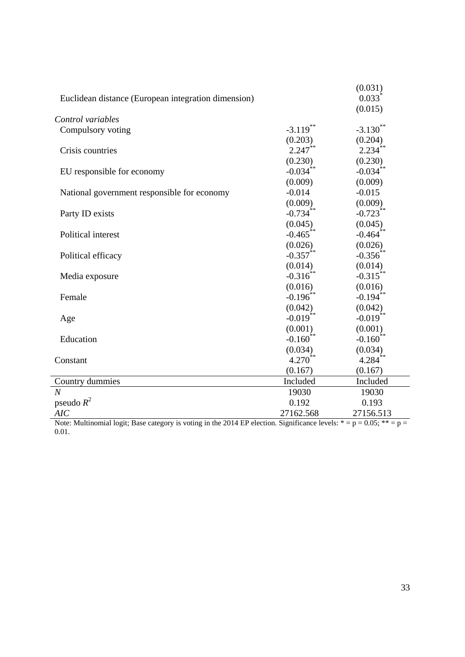|                                                     |                        | (0.031)                |
|-----------------------------------------------------|------------------------|------------------------|
| Euclidean distance (European integration dimension) |                        | $0.033*$               |
|                                                     |                        | (0.015)                |
| Control variables                                   |                        |                        |
| Compulsory voting                                   | $-3.119$ **            | $-3.130$ <sup>**</sup> |
|                                                     | (0.203)                | $(0.204)$<br>2.234**   |
| Crisis countries                                    | $2.247**$              |                        |
|                                                     | (0.230)                | (0.230)                |
| EU responsible for economy                          | $-0.034$ <sup>**</sup> | $-0.034$ **            |
|                                                     | (0.009)                | (0.009)                |
| National government responsible for economy         | $-0.014$               | $-0.015$               |
|                                                     | (0.009)                | (0.009)                |
| Party ID exists                                     | $-0.734$ **            | $-0.723$ **            |
|                                                     | (0.045)                | (0.045)                |
| Political interest                                  | $-0.465$ **            | $-0.464$ **            |
|                                                     | (0.026)                | (0.026)                |
| Political efficacy                                  | $-0.357$ **            | $-0.356^{**}$          |
|                                                     | (0.014)                | (0.014)                |
| Media exposure                                      | $-0.316$ **            | $-0.315$ **            |
|                                                     | (0.016)                | (0.016)                |
| Female                                              | $-0.196$ <sup>**</sup> | $-0.194$ <sup>**</sup> |
|                                                     | (0.042)                | (0.042)                |
| Age                                                 | $-0.019$ **            | $-0.019**$             |
|                                                     | (0.001)                | (0.001)                |
| Education                                           | $-0.160$ <sup>**</sup> | $-0.160$ <sup>**</sup> |
|                                                     | (0.034)                | (0.034)                |
| Constant                                            | $4.270^{**}$           | $4.284$ <sup>**</sup>  |
|                                                     | (0.167)                | (0.167)                |
| Country dummies                                     | Included               | Included               |
| $\overline{N}$                                      | 19030                  | 19030                  |
| pseudo $R^2$                                        | 0.192                  | 0.193                  |
| AIC                                                 | 27162.568              | 27156.513              |

Note: Multinomial logit; Base category is voting in the 2014 EP election. Significance levels:  $* = p = 0.05$ ;  $** = p =$ 0.01.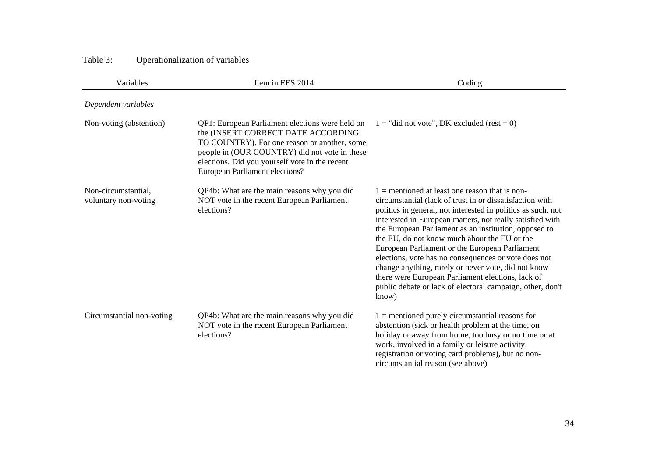| Variables                                   | Item in EES 2014                                                                                                                                                                                                                                                           | Coding                                                                                                                                                                                                                                                                                                                                                                                                                                                                                                                                                                                                                                         |
|---------------------------------------------|----------------------------------------------------------------------------------------------------------------------------------------------------------------------------------------------------------------------------------------------------------------------------|------------------------------------------------------------------------------------------------------------------------------------------------------------------------------------------------------------------------------------------------------------------------------------------------------------------------------------------------------------------------------------------------------------------------------------------------------------------------------------------------------------------------------------------------------------------------------------------------------------------------------------------------|
| Dependent variables                         |                                                                                                                                                                                                                                                                            |                                                                                                                                                                                                                                                                                                                                                                                                                                                                                                                                                                                                                                                |
| Non-voting (abstention)                     | QP1: European Parliament elections were held on<br>the (INSERT CORRECT DATE ACCORDING<br>TO COUNTRY). For one reason or another, some<br>people in (OUR COUNTRY) did not vote in these<br>elections. Did you yourself vote in the recent<br>European Parliament elections? | $1 =$ "did not vote", DK excluded (rest = 0)                                                                                                                                                                                                                                                                                                                                                                                                                                                                                                                                                                                                   |
| Non-circumstantial,<br>voluntary non-voting | QP4b: What are the main reasons why you did<br>NOT vote in the recent European Parliament<br>elections?                                                                                                                                                                    | $1 =$ mentioned at least one reason that is non-<br>circumstantial (lack of trust in or dissatisfaction with<br>politics in general, not interested in politics as such, not<br>interested in European matters, not really satisfied with<br>the European Parliament as an institution, opposed to<br>the EU, do not know much about the EU or the<br>European Parliament or the European Parliament<br>elections, vote has no consequences or vote does not<br>change anything, rarely or never vote, did not know<br>there were European Parliament elections, lack of<br>public debate or lack of electoral campaign, other, don't<br>know) |
| Circumstantial non-voting                   | QP4b: What are the main reasons why you did<br>NOT vote in the recent European Parliament<br>elections?                                                                                                                                                                    | $1 =$ mentioned purely circumstantial reasons for<br>abstention (sick or health problem at the time, on<br>holiday or away from home, too busy or no time or at<br>work, involved in a family or leisure activity,<br>registration or voting card problems), but no non-<br>circumstantial reason (see above)                                                                                                                                                                                                                                                                                                                                  |

## Table 3: Operationalization of variables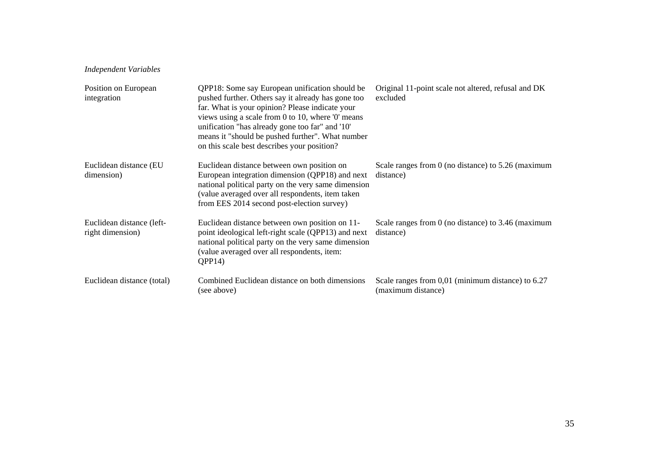## *Independent Variables*

| Position on European<br>integration           | QPP18: Some say European unification should be<br>pushed further. Others say it already has gone too<br>far. What is your opinion? Please indicate your<br>views using a scale from 0 to 10, where $0'$ means<br>unification "has already gone too far" and '10"<br>means it "should be pushed further". What number<br>on this scale best describes your position? | Original 11-point scale not altered, refusal and DK<br>excluded         |
|-----------------------------------------------|---------------------------------------------------------------------------------------------------------------------------------------------------------------------------------------------------------------------------------------------------------------------------------------------------------------------------------------------------------------------|-------------------------------------------------------------------------|
| Euclidean distance (EU<br>dimension)          | Euclidean distance between own position on<br>European integration dimension (QPP18) and next<br>national political party on the very same dimension<br>(value averaged over all respondents, item taken<br>from EES 2014 second post-election survey)                                                                                                              | Scale ranges from $0$ (no distance) to $5.26$ (maximum<br>distance)     |
| Euclidean distance (left-<br>right dimension) | Euclidean distance between own position on 11-<br>point ideological left-right scale (QPP13) and next<br>national political party on the very same dimension<br>(value averaged over all respondents, item:<br>OPP14                                                                                                                                                | Scale ranges from $0$ (no distance) to 3.46 (maximum<br>distance)       |
| Euclidean distance (total)                    | Combined Euclidean distance on both dimensions<br>(see above)                                                                                                                                                                                                                                                                                                       | Scale ranges from 0,01 (minimum distance) to 6.27<br>(maximum distance) |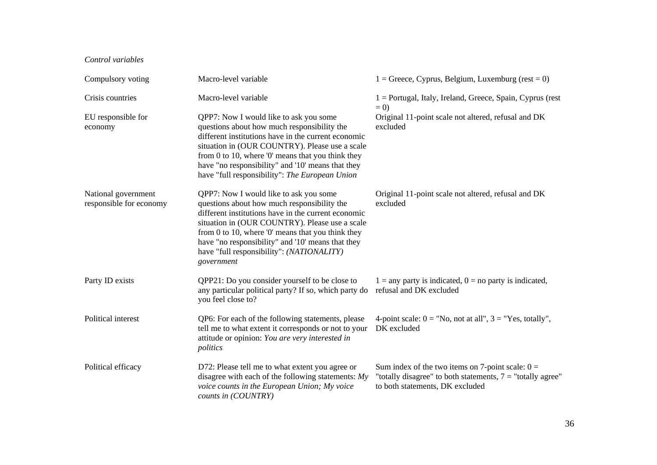#### *Control variables*

| Compulsory voting                              | Macro-level variable                                                                                                                                                                                                                                                                                                                                                  | $1 =$ Greece, Cyprus, Belgium, Luxemburg (rest = 0)                                                                                                   |
|------------------------------------------------|-----------------------------------------------------------------------------------------------------------------------------------------------------------------------------------------------------------------------------------------------------------------------------------------------------------------------------------------------------------------------|-------------------------------------------------------------------------------------------------------------------------------------------------------|
| Crisis countries                               | Macro-level variable                                                                                                                                                                                                                                                                                                                                                  | $1 =$ Portugal, Italy, Ireland, Greece, Spain, Cyprus (rest<br>$= 0$                                                                                  |
| EU responsible for<br>economy                  | QPP7: Now I would like to ask you some<br>questions about how much responsibility the<br>different institutions have in the current economic<br>situation in (OUR COUNTRY). Please use a scale<br>from 0 to 10, where $'0'$ means that you think they<br>have "no responsibility" and '10' means that they<br>have "full responsibility": The European Union          | Original 11-point scale not altered, refusal and DK<br>excluded                                                                                       |
| National government<br>responsible for economy | QPP7: Now I would like to ask you some<br>questions about how much responsibility the<br>different institutions have in the current economic<br>situation in (OUR COUNTRY). Please use a scale<br>from 0 to 10, where $'0'$ means that you think they<br>have "no responsibility" and '10' means that they<br>have "full responsibility": (NATIONALITY)<br>government | Original 11-point scale not altered, refusal and DK<br>excluded                                                                                       |
| Party ID exists                                | QPP21: Do you consider yourself to be close to<br>any particular political party? If so, which party do<br>you feel close to?                                                                                                                                                                                                                                         | $1 =$ any party is indicated, $0 =$ no party is indicated,<br>refusal and DK excluded                                                                 |
| Political interest                             | QP6: For each of the following statements, please<br>tell me to what extent it corresponds or not to your<br>attitude or opinion: You are very interested in<br>politics                                                                                                                                                                                              | 4-point scale: $0 = "No, not at all", 3 = "Yes, totally",$<br>DK excluded                                                                             |
| Political efficacy                             | D72: Please tell me to what extent you agree or<br>disagree with each of the following statements: $My$<br>voice counts in the European Union; My voice<br>counts in (COUNTRY)                                                                                                                                                                                        | Sum index of the two items on 7-point scale: $0 =$<br>"totally disagree" to both statements, $7 =$ "totally agree"<br>to both statements, DK excluded |